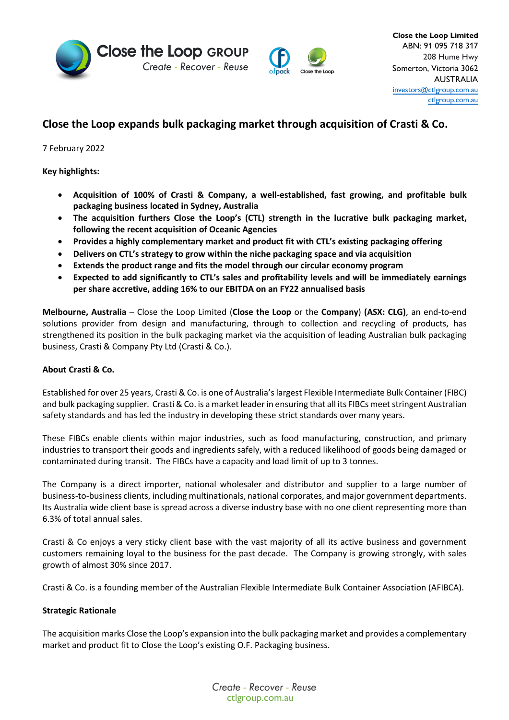



# **Close the Loop expands bulk packaging market through acquisition of Crasti & Co.**

7 February 2022

**Key highlights:** 

- **Acquisition of 100% of Crasti & Company, a well-established, fast growing, and profitable bulk packaging business located in Sydney, Australia**
- **The acquisition furthers Close the Loop's (CTL) strength in the lucrative bulk packaging market, following the recent acquisition of Oceanic Agencies**
- **Provides a highly complementary market and product fit with CTL's existing packaging offering**
- **Delivers on CTL's strategy to grow within the niche packaging space and via acquisition**
- **Extends the product range and fits the model through our circular economy program**
- **Expected to add significantly to CTL's sales and profitability levels and will be immediately earnings per share accretive, adding 16% to our EBITDA on an FY22 annualised basis**

**Melbourne, Australia** – Close the Loop Limited (**Close the Loop** or the **Company**) **(ASX: CLG)**, an end-to-end solutions provider from design and manufacturing, through to collection and recycling of products, has strengthened its position in the bulk packaging market via the acquisition of leading Australian bulk packaging business, Crasti & Company Pty Ltd (Crasti & Co.).

# **About Crasti & Co.**

Established for over 25 years, Crasti & Co. is one of Australia's largest Flexible Intermediate Bulk Container (FIBC) and bulk packaging supplier. Crasti& Co. is a market leader in ensuring that all its FIBCs meet stringent Australian safety standards and has led the industry in developing these strict standards over many years.

These FIBCs enable clients within major industries, such as food manufacturing, construction, and primary industries to transport their goods and ingredients safely, with a reduced likelihood of goods being damaged or contaminated during transit. The FIBCs have a capacity and load limit of up to 3 tonnes.

The Company is a direct importer, national wholesaler and distributor and supplier to a large number of business-to-business clients, including multinationals, national corporates, and major government departments. Its Australia wide client base is spread across a diverse industry base with no one client representing more than 6.3% of total annual sales.

Crasti & Co enjoys a very sticky client base with the vast majority of all its active business and government customers remaining loyal to the business for the past decade. The Company is growing strongly, with sales growth of almost 30% since 2017.

Crasti & Co. is a founding member of the Australian Flexible Intermediate Bulk Container Association (AFIBCA).

# **Strategic Rationale**

The acquisition marks Close the Loop's expansion into the bulk packaging market and provides a complementary market and product fit to Close the Loop's existing O.F. Packaging business.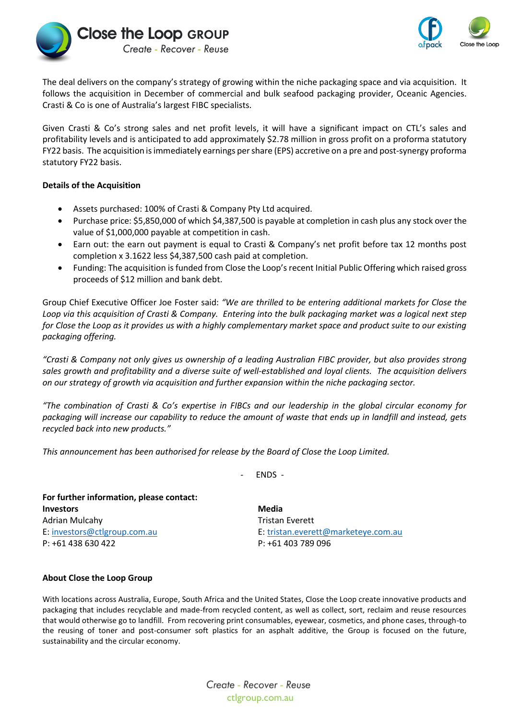



The deal delivers on the company's strategy of growing within the niche packaging space and via acquisition. It follows the acquisition in December of commercial and bulk seafood packaging provider, Oceanic Agencies. Crasti & Co is one of Australia's largest FIBC specialists.

Given Crasti & Co's strong sales and net profit levels, it will have a significant impact on CTL's sales and profitability levels and is anticipated to add approximately \$2.78 million in gross profit on a proforma statutory FY22 basis. The acquisition is immediately earnings per share (EPS) accretive on a pre and post-synergy proforma statutory FY22 basis.

### **Details of the Acquisition**

- Assets purchased: 100% of Crasti & Company Pty Ltd acquired.
- Purchase price: \$5,850,000 of which \$4,387,500 is payable at completion in cash plus any stock over the value of \$1,000,000 payable at competition in cash.
- Earn out: the earn out payment is equal to Crasti & Company's net profit before tax 12 months post completion x 3.1622 less \$4,387,500 cash paid at completion.
- Funding: The acquisition is funded from Close the Loop's recent Initial Public Offering which raised gross proceeds of \$12 million and bank debt.

Group Chief Executive Officer Joe Foster said: *"We are thrilled to be entering additional markets for Close the Loop via this acquisition of Crasti & Company. Entering into the bulk packaging market was a logical next step for Close the Loop as it provides us with a highly complementary market space and product suite to our existing packaging offering.* 

*"Crasti & Company not only gives us ownership of a leading Australian FIBC provider, but also provides strong sales growth and profitability and a diverse suite of well-established and loyal clients. The acquisition delivers on our strategy of growth via acquisition and further expansion within the niche packaging sector.* 

*"The combination of Crasti & Co's expertise in FIBCs and our leadership in the global circular economy for packaging will increase our capability to reduce the amount of waste that ends up in landfill and instead, gets recycled back into new products."*

*This announcement has been authorised for release by the Board of Close the Loop Limited.*

- ENDS -

| For further information, please contact: |                                     |
|------------------------------------------|-------------------------------------|
| <b>Investors</b>                         | Media                               |
| Adrian Mulcahy                           | Tristan Everett                     |
| E: investors@ctlgroup.com.au             | E: tristan.everett@marketeye.com.au |
| P: +61 438 630 422                       | P: +61 403 789 096                  |

### **About Close the Loop Group**

With locations across Australia, Europe, South Africa and the United States, Close the Loop create innovative products and packaging that includes recyclable and made-from recycled content, as well as collect, sort, reclaim and reuse resources that would otherwise go to landfill. From recovering print consumables, eyewear, cosmetics, and phone cases, through-to the reusing of toner and post-consumer soft plastics for an asphalt additive, the Group is focused on the future, sustainability and the circular economy.

> Create - Recover - Reuse ctlgroup.com.au